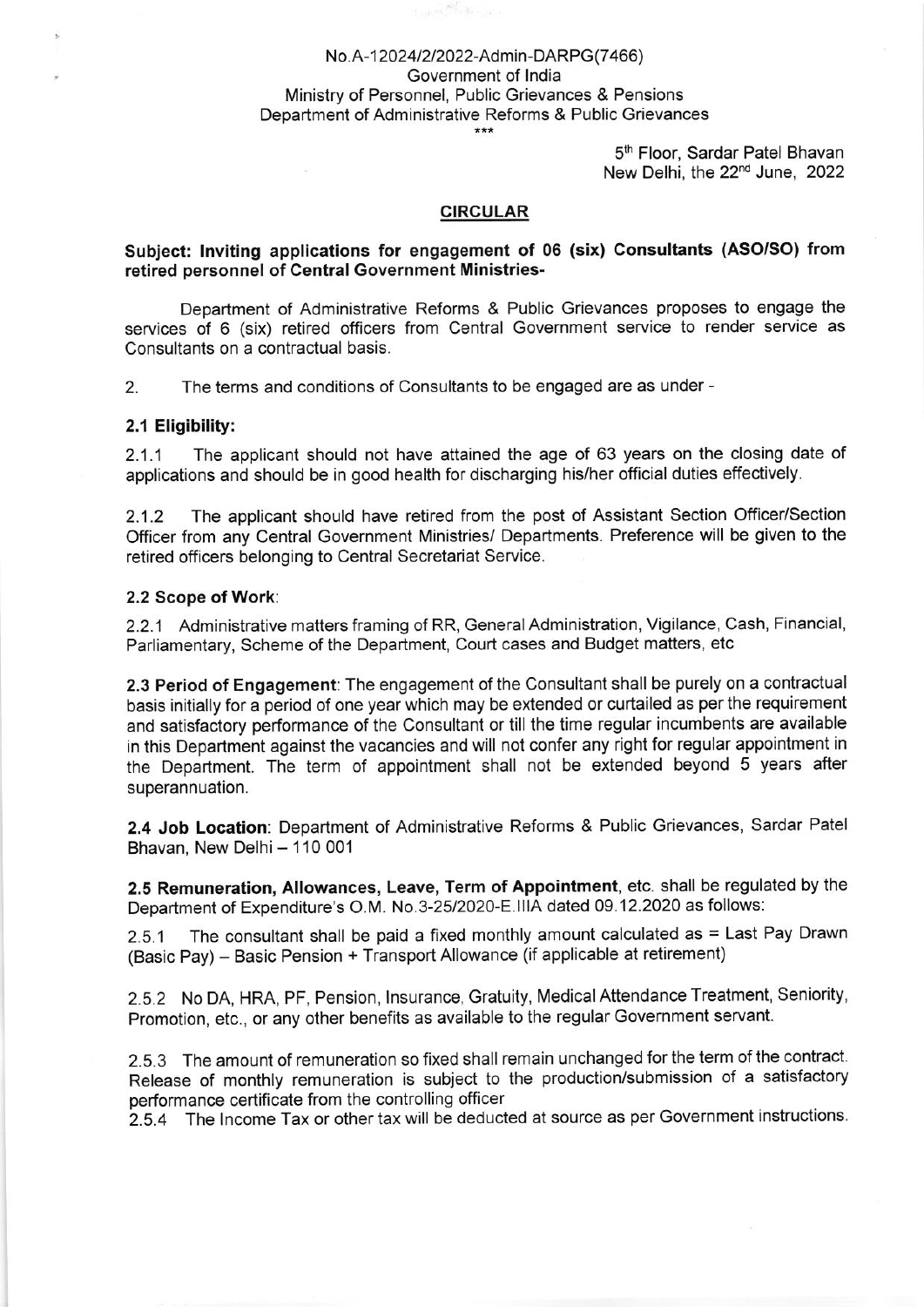# No.A-12024/2/2022-Admin-DARPG(7466) Government of lndia Ministry of Personnel, Public Grievances & Pensions Department of Administrative Reforms & Public Grievances

5<sup>th</sup> Floor, Sardar Patel Bhavan New Delhi, the 22"d June, 2022

### CIRCULAR

### Subiect: Inviting applications for engagement of 06 (six) Consultants (ASO/SO) from retired personnel of Central Government Ministries-

Department of Administrative Reforms & Public Grievances proposes to engage the services of 6 (six) retired officers from Central Government service to render service as Consultants on a contractual basis.

2. The terms and conditions of Consultants to be engaged are as under -

### 2.1 Eligibility:

2.1.1 The applicant should not have attained the age of 63 years on the closing date of applications and should be in good health for discharging his/her official duties effectively.

2.1.2 The applicant should have retired from the post of Assistant Section Officer/Section Officer from any Central Government Ministries/ Departments. Preference will be given to the retired officers belonging to Central Secretariat Service.

#### 2.2 Scope of Work:

2.2.1 Administrative matters framing of RR, General Administration, Vigilance, Cash, Financial, Parliamentary, Scheme of the Department, Court cases and Budget matters, etc

2.3 Period of Engagement: The engagement of the Consultant shall be purely on a contractual basis initially for a period of one year which may be extended or curtailed as per the requirement and satisfactory performance of the Consultant or till the time regular incumbents are available in this Department against the vacancies and will not confer any right for regular appointment in the Department. The term of appointment shall not be extended beyond 5 years after superannuation.

2.4 Job Location: Department of Administrative Reforms & Public Grievances, Sardar Patel Bhavan, New Delhi - 110 001

2.5 Remuneration, Allowances, Leave, Term of Appointment, etc. shall be regulated by the Department of Expenditure's O.M. No.3-25/2020-E.IIIA dated 09.12.2020 as follows:

2-5-1 The consultant shall be paid a fixed monthly amount calculated as = Last Pay Drawn (Basic Pay) - Basic Pension + Transport Allowance (if applicable at retirement)

2.5.2 No DA, HRA, PF, Pension, lnsurance, Gratuity, Medical Attendance Treatment, Seniority, Promotion, etc., or any other benefits as available to the regular Government servant.

2.5.3 The amount of remuneration so fixed shall remain unchanged for the term of the contract. Release of monthly remuneration is subiect to the production/submission of a satisfactory performance certificate from the controlling officer

2.5.4 The Income Tax or other tax will be deducted at source as per Government instructions.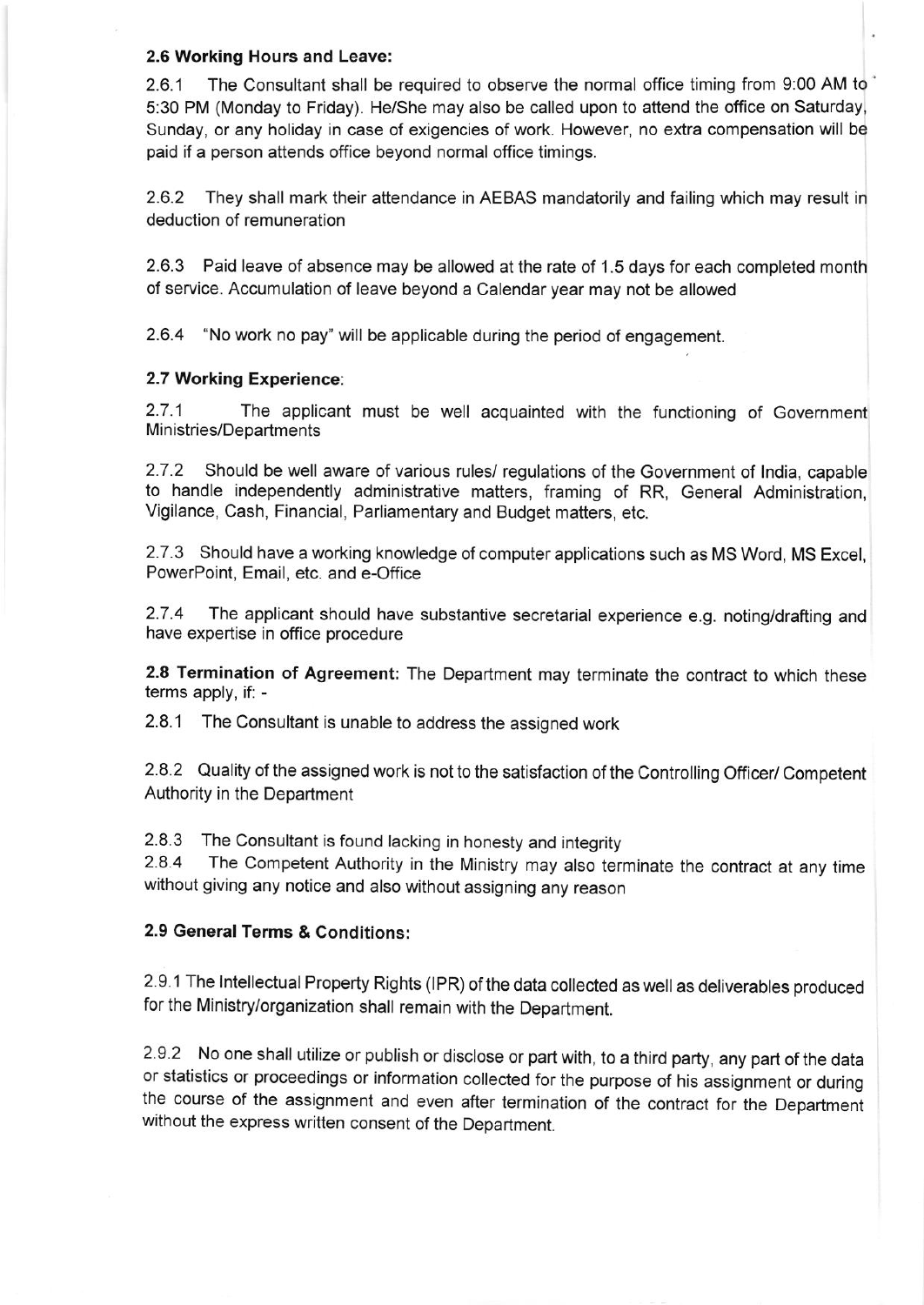## 2.6 Working Hours and Leave:

2.6.1 The Consultant shall be required to observe the normal office timing from 9:00 AM to 5:30 PM (Monday to Friday). He/She may also be called upon to attend the office on Saturday, Sunday, or any holiday in case of exigencies of work. However, no extra compensation will be paid if a person attends office beyond normal office timings.

2.6.2 They shall mark their attendance in AEBAS mandatorily and failing which may result in deduction of remuneration

2.6.3 Paid leave of absence may be allowed at the rate of 1.5 days for each completed month of service. Accumulation of leave beyond a Calendar year may not be allowed

2.6.4 "No work no pay" will be applicable during the period of engagement.

## 2.7 Working Experience:

2.7.1 The applicant must be well acquainted with the functioning of Government Ministries/Departments

2.7.2 Should be well aware of various rules/ regulations of the Government of lndia, capable to handle independently administrative matters, framing of RR, General Administration, Vigilance, Cash, Financial, Parliamentary and Budget matters, etc.

2.7.3 Should have a working knowledge of computer applications such as MS Word, MS Excel, PowerPoint, Email, etc. and e-Office

2.7.4 The applicant should have substantive secretarial experience e.g. noting/drafting and have expertise in office procedure

2.8 Termination of Agreement: The Department may terminate the contract to which these terms apply, if: -

2.8.1 The Consultant is unable to address the assigned work

2.8.2 Quality of the assigned work is not to the satisfaction of the Controlling Officer/ Competent Authority in the Department

2.8.3 The Consultant is found lacking in honesty and integrity

2.8.4 The Competent Authority in the Ministry may also terminate the contract at any time without giving any notice and also without assigning any reason

# 2.9 General Terms & Conditions:

2.9.1 The Intellectual Property Rights (IPR) of the data collected as well as deliverables produced for the Ministry/organization shall remain with the Department.

2.9.2 No one shall utilize or publish or disclose or part with, to a third party, any part of the data or statistics or proceedings or information collected for the purpose of his assignment or during the course of the assignment and even after termination of the contract for the Department without the express written consent of the Department.